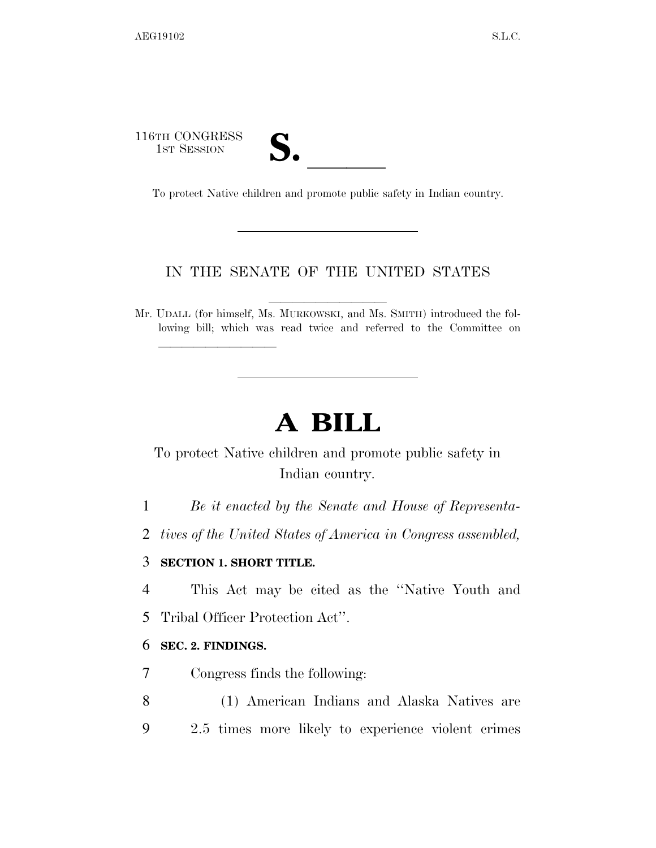116TH CONGRESS STH CONGRESS<br>
1ST SESSION<br>
To protect Native children and promote public safety in Indian country.

lla se al constituir a la constituir a la constituir a la constituir a la constituir a la constituir a la cons<br>La constituir a la constituir a la constituir a la constituir a la constituir a la constituir a la constituir

## IN THE SENATE OF THE UNITED STATES

Mr. UDALL (for himself, Ms. MURKOWSKI, and Ms. SMITH) introduced the following bill; which was read twice and referred to the Committee on

# **A BILL**

# To protect Native children and promote public safety in Indian country.

1 *Be it enacted by the Senate and House of Representa-*

2 *tives of the United States of America in Congress assembled,* 

#### 3 **SECTION 1. SHORT TITLE.**

4 This Act may be cited as the ''Native Youth and

5 Tribal Officer Protection Act''.

#### 6 **SEC. 2. FINDINGS.**

7 Congress finds the following:

8 (1) American Indians and Alaska Natives are 9 2.5 times more likely to experience violent crimes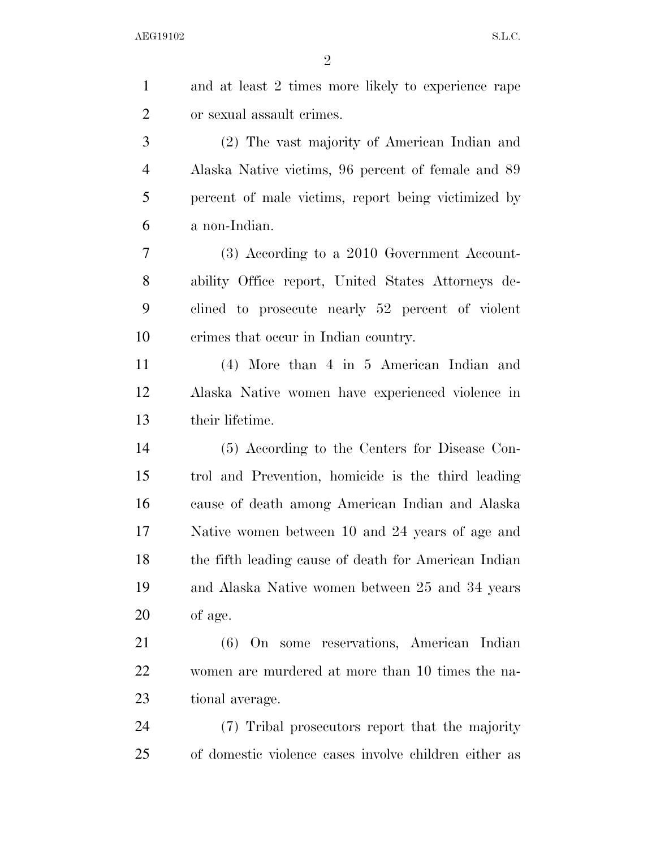| $\mathbf{1}$   | and at least 2 times more likely to experience rape   |
|----------------|-------------------------------------------------------|
| $\overline{2}$ | or sexual assault crimes.                             |
| 3              | (2) The vast majority of American Indian and          |
| $\overline{4}$ | Alaska Native victims, 96 percent of female and 89    |
| 5              | percent of male victims, report being victimized by   |
| 6              | a non-Indian.                                         |
| 7              | (3) According to a 2010 Government Account-           |
| 8              | ability Office report, United States Attorneys de-    |
| 9              | clined to prosecute nearly 52 percent of violent      |
| 10             | crimes that occur in Indian country.                  |
| 11             | $(4)$ More than $4$ in $5$ American Indian and        |
| 12             | Alaska Native women have experienced violence in      |
| 13             | their lifetime.                                       |
| 14             | (5) According to the Centers for Disease Con-         |
| 15             | trol and Prevention, homicide is the third leading    |
| 16             | cause of death among American Indian and Alaska       |
| 17             | Native women between 10 and 24 years of age and       |
| 18             | the fifth leading cause of death for American Indian  |
| 19             | and Alaska Native women between 25 and 34 years       |
| <b>20</b>      | of age.                                               |
| 21             | (6) On some reservations, American Indian             |
| 22             | women are murdered at more than 10 times the na-      |
| 23             | tional average.                                       |
| 24             | (7) Tribal prosecutors report that the majority       |
| 25             | of domestic violence cases involve children either as |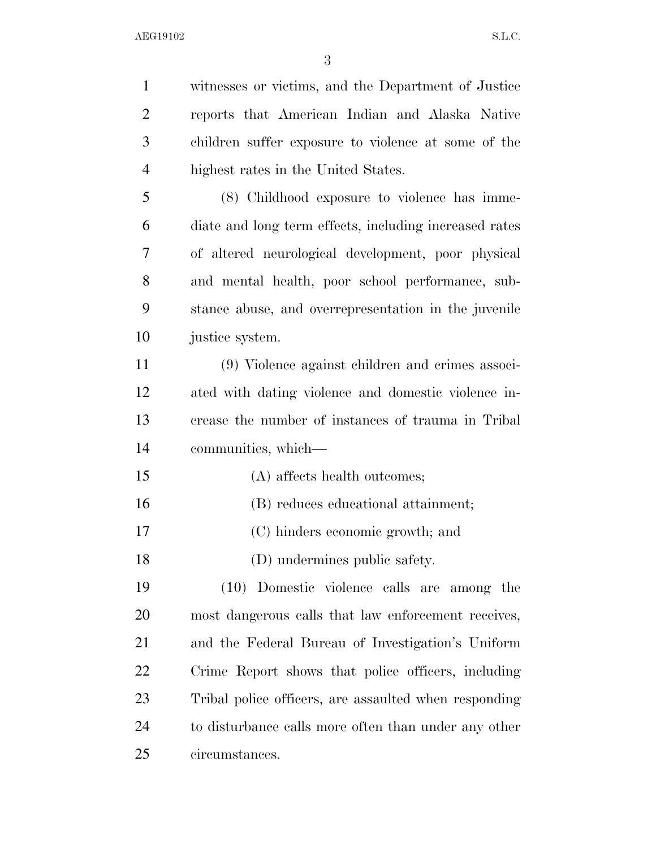witnesses or victims, and the Department of Justice reports that American Indian and Alaska Native children suffer exposure to violence at some of the highest rates in the United States. (8) Childhood exposure to violence has imme- diate and long term effects, including increased rates of altered neurological development, poor physical and mental health, poor school performance, sub- stance abuse, and overrepresentation in the juvenile justice system. (9) Violence against children and crimes associ- ated with dating violence and domestic violence in- crease the number of instances of trauma in Tribal communities, which— (A) affects health outcomes; (B) reduces educational attainment; (C) hinders economic growth; and (D) undermines public safety. (10) Domestic violence calls are among the most dangerous calls that law enforcement receives, and the Federal Bureau of Investigation's Uniform Crime Report shows that police officers, including Tribal police officers, are assaulted when responding 24 to disturbance calls more often than under any other circumstances.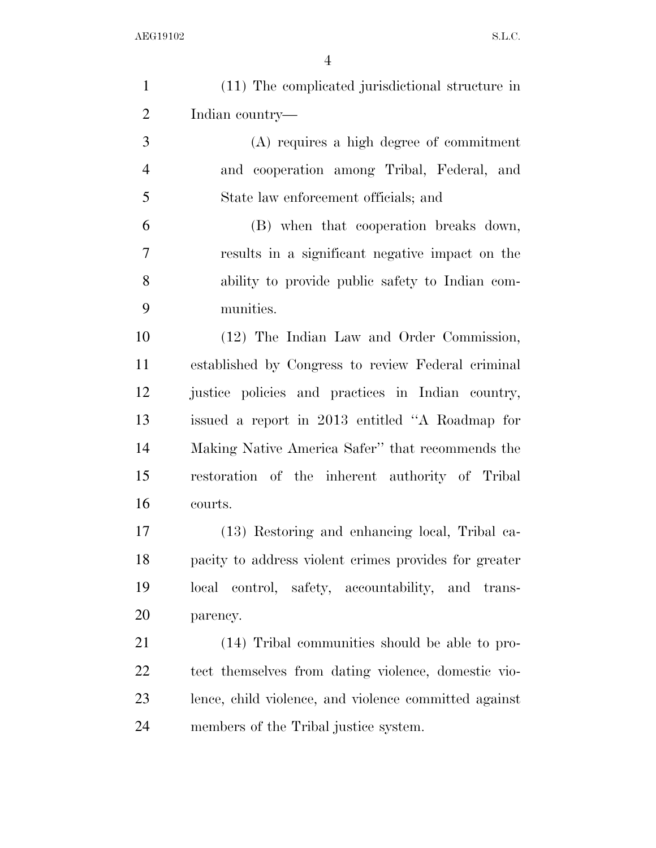| $\mathbf{1}$   | (11) The complicated jurisdictional structure in      |
|----------------|-------------------------------------------------------|
| $\overline{2}$ | Indian country—                                       |
| 3              | (A) requires a high degree of commitment              |
| $\overline{4}$ | and cooperation among Tribal, Federal, and            |
| 5              | State law enforcement officials; and                  |
| 6              | (B) when that cooperation breaks down,                |
| 7              | results in a significant negative impact on the       |
| 8              | ability to provide public safety to Indian com-       |
| 9              | munities.                                             |
| 10             | (12) The Indian Law and Order Commission,             |
| 11             | established by Congress to review Federal criminal    |
| 12             | justice policies and practices in Indian country,     |
| 13             | issued a report in 2013 entitled "A Roadmap for       |
| 14             | Making Native America Safer" that recommends the      |
| 15             | restoration of the inherent authority of Tribal       |
| 16             | courts.                                               |
| 17             | (13) Restoring and enhancing local, Tribal ca-        |
| 18             | pacity to address violent crimes provides for greater |
| 19             | local control, safety, accountability, and trans-     |
| 20             | parency.                                              |
| 21             | (14) Tribal communities should be able to pro-        |
| <u>22</u>      | tect themselves from dating violence, domestic vio-   |
| 23             | lence, child violence, and violence committed against |
| 24             | members of the Tribal justice system.                 |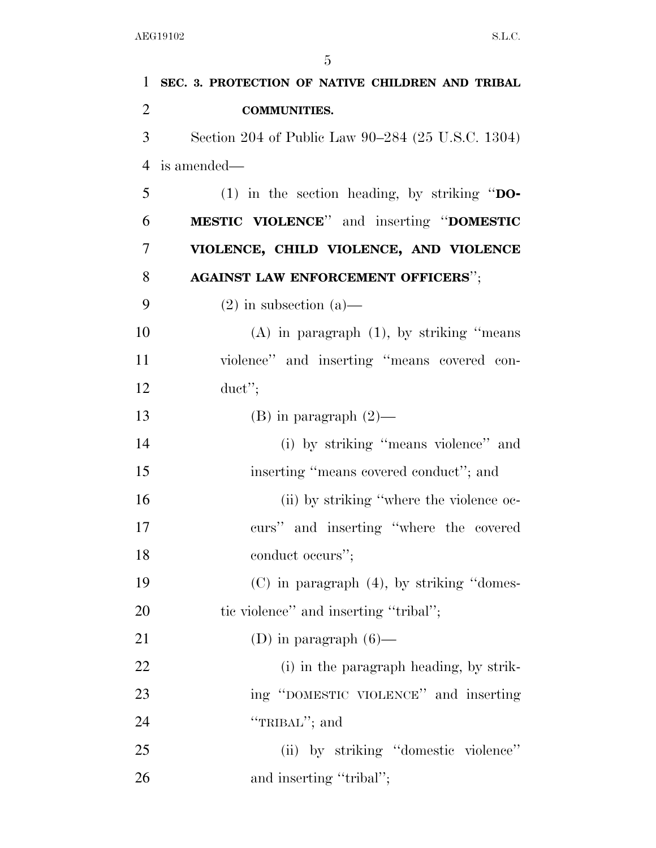| $\mathbf{1}$   | SEC. 3. PROTECTION OF NATIVE CHILDREN AND TRIBAL  |
|----------------|---------------------------------------------------|
| $\overline{2}$ | <b>COMMUNITIES.</b>                               |
| 3              | Section 204 of Public Law 90–284 (25 U.S.C. 1304) |
| $\overline{4}$ | is amended—                                       |
| 5              | (1) in the section heading, by striking " $DO-$   |
| 6              | <b>MESTIC VIOLENCE"</b> and inserting "DOMESTIC   |
| 7              | VIOLENCE, CHILD VIOLENCE, AND VIOLENCE            |
| 8              | <b>AGAINST LAW ENFORCEMENT OFFICERS";</b>         |
| 9              | $(2)$ in subsection $(a)$ —                       |
| 10             | $(A)$ in paragraph $(1)$ , by striking "means"    |
| 11             | violence" and inserting "means covered con-       |
| 12             | duct";                                            |
| 13             | $(B)$ in paragraph $(2)$ —                        |
| 14             | (i) by striking "means violence" and              |
| 15             | inserting "means covered conduct"; and            |
| 16             | (ii) by striking "where the violence oc-          |
| 17             | curs" and inserting "where the covered            |
| 18             | conduct occurs";                                  |
| 19             | $(C)$ in paragraph $(4)$ , by striking "domes-    |
| 20             | tic violence" and inserting "tribal";             |
| 21             | (D) in paragraph $(6)$ —                          |
| 22             | (i) in the paragraph heading, by strik-           |
| 23             | ing "DOMESTIC VIOLENCE" and inserting             |
| 24             | "TRIBAL"; and                                     |
| 25             | (ii) by striking "domestic violence"              |
| 26             | and inserting "tribal";                           |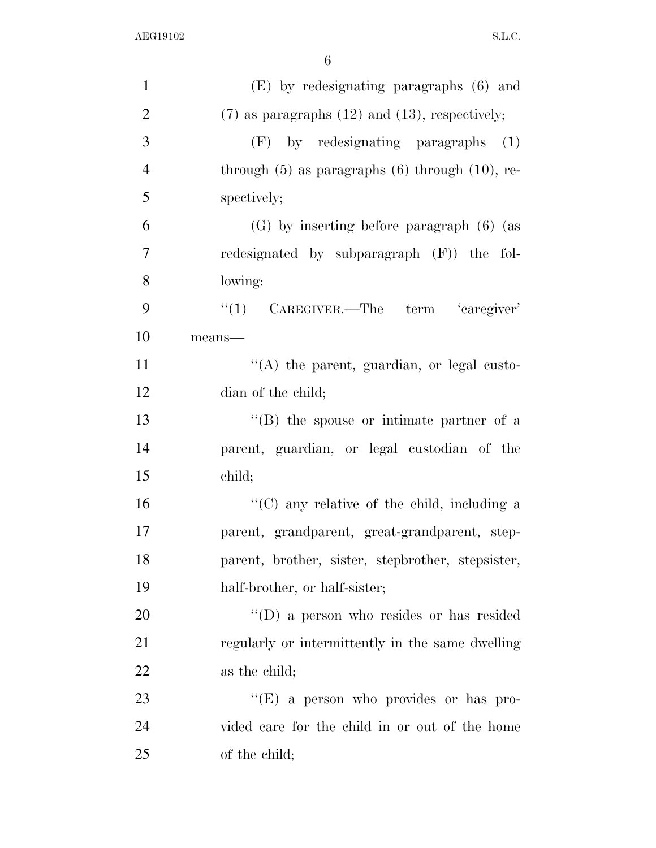| $\mathbf{1}$   | $(E)$ by redesignating paragraphs $(6)$ and            |
|----------------|--------------------------------------------------------|
| $\overline{2}$ | $(7)$ as paragraphs $(12)$ and $(13)$ , respectively;  |
| 3              | $(F)$ by redesignating paragraphs $(1)$                |
| $\overline{4}$ | through $(5)$ as paragraphs $(6)$ through $(10)$ , re- |
| 5              | spectively;                                            |
| 6              | $(G)$ by inserting before paragraph $(6)$ (as          |
| $\overline{7}$ | redesignated by subparagraph (F)) the fol-             |
| 8              | lowing:                                                |
| 9              | $\lq(1)$ CAREGIVER.—The term 'caregiver'               |
| 10             | $means$ —                                              |
| 11             | "(A) the parent, guardian, or legal custo-             |
| 12             | dian of the child;                                     |
| 13             | $\lq\lq (B)$ the spouse or intimate partner of a       |
| 14             | parent, guardian, or legal custodian of the            |
| 15             | child;                                                 |
| 16             | "(C) any relative of the child, including a            |
| 17             | parent, grandparent, great-grandparent, step-          |
| 18             | parent, brother, sister, stepbrother, stepsister,      |
| 19             | half-brother, or half-sister;                          |
| 20             | $\lq\lq$ (D) a person who resides or has resided       |
| 21             | regularly or intermittently in the same dwelling       |
| <u>22</u>      | as the child;                                          |
| 23             | "(E) a person who provides or has pro-                 |
| 24             | vided care for the child in or out of the home         |
| 25             | of the child;                                          |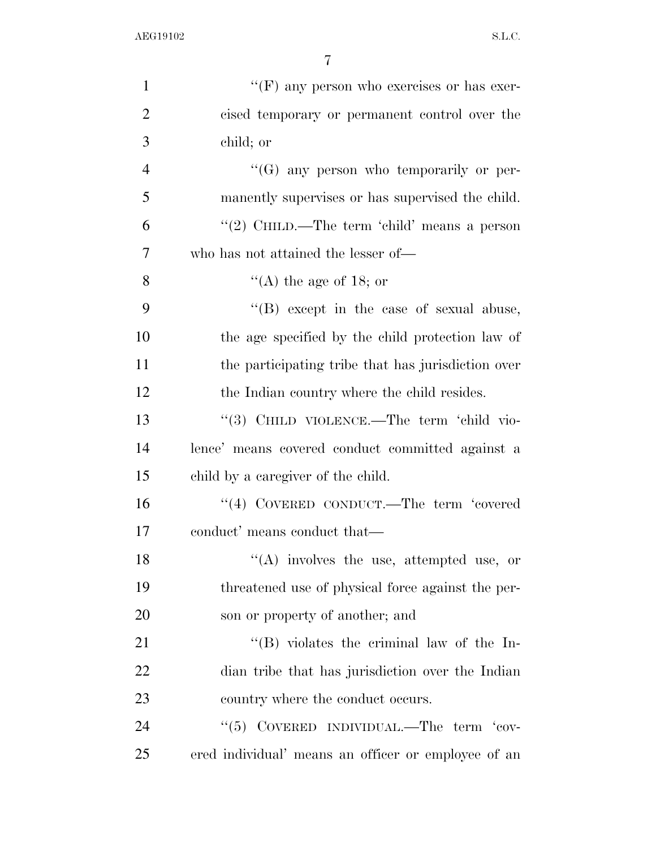| $\mathbf{1}$   | " $(F)$ any person who exercises or has exer-       |
|----------------|-----------------------------------------------------|
| $\overline{2}$ | cised temporary or permanent control over the       |
| 3              | child; or                                           |
| $\overline{4}$ | $\lq\lq (G)$ any person who temporarily or per-     |
| 5              | manently supervises or has supervised the child.    |
| 6              | "(2) CHILD.—The term 'child' means a person         |
| $\overline{7}$ | who has not attained the lesser of—                 |
| 8              | "(A) the age of 18; or                              |
| 9              | $\lq\lq$ (B) except in the case of sexual abuse,    |
| 10             | the age specified by the child protection law of    |
| 11             | the participating tribe that has jurisdiction over  |
| 12             | the Indian country where the child resides.         |
| 13             | "(3) CHILD VIOLENCE.—The term 'child vio-           |
| 14             | lence' means covered conduct committed against a    |
| 15             | child by a caregiver of the child.                  |
| 16             | "(4) COVERED CONDUCT.—The term 'covered             |
| 17             | conduct' means conduct that—                        |
| 18             | $\lq\lq$ involves the use, attempted use, or        |
| 19             | threatened use of physical force against the per-   |
| 20             | son or property of another; and                     |
| 21             | $\lq\lq (B)$ violates the criminal law of the In-   |
| 22             | dian tribe that has jurisdiction over the Indian    |
| 23             | country where the conduct occurs.                   |
| 24             | " $(5)$ COVERED INDIVIDUAL.—The term 'cov-          |
| 25             | ered individual' means an officer or employee of an |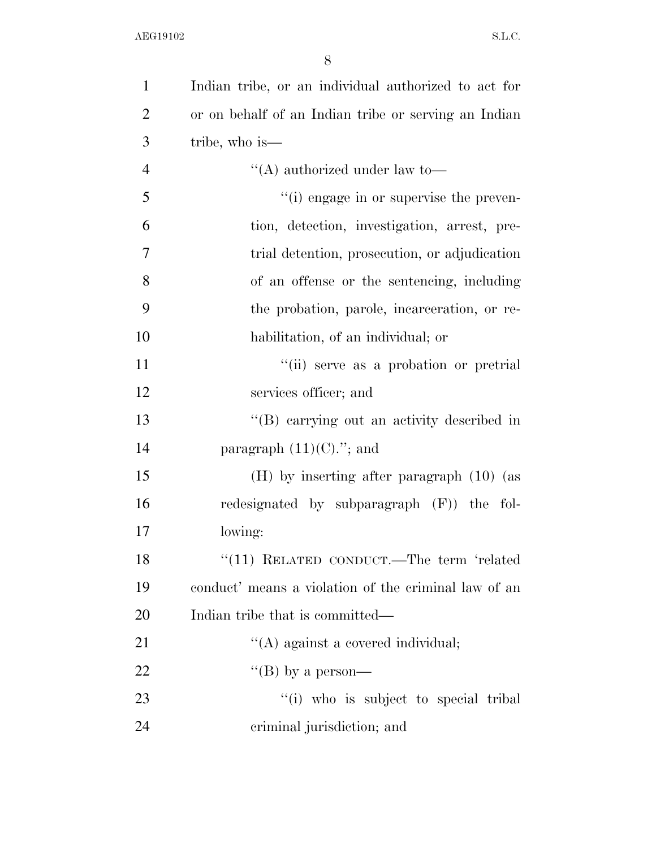| $\mathbf{1}$   | Indian tribe, or an individual authorized to act for |
|----------------|------------------------------------------------------|
| $\overline{2}$ | or on behalf of an Indian tribe or serving an Indian |
| 3              | tribe, who is—                                       |
| $\overline{4}$ | "(A) authorized under law to-                        |
| 5              | "(i) engage in or supervise the preven-              |
| 6              | tion, detection, investigation, arrest, pre-         |
| 7              | trial detention, prosecution, or adjudication        |
| 8              | of an offense or the sentencing, including           |
| 9              | the probation, parole, incarceration, or re-         |
| 10             | habilitation, of an individual; or                   |
| 11             | "(ii) serve as a probation or pretrial               |
| 12             | services officer; and                                |
| 13             | "(B) carrying out an activity described in           |
| 14             | paragraph $(11)(C)$ ."; and                          |
| 15             | $(H)$ by inserting after paragraph $(10)$ (as        |
| 16             | redesignated by subparagraph $(F)$ the fol-          |
| 17             | lowing:                                              |
| 18             | "(11) RELATED CONDUCT.—The term 'related             |
| 19             | conduct' means a violation of the criminal law of an |
| 20             | Indian tribe that is committed—                      |
| 21             | $\lq\lq$ against a covered individual;               |
| 22             | "(B) by a person—                                    |
| 23             | "(i) who is subject to special tribal"               |
| 24             | criminal jurisdiction; and                           |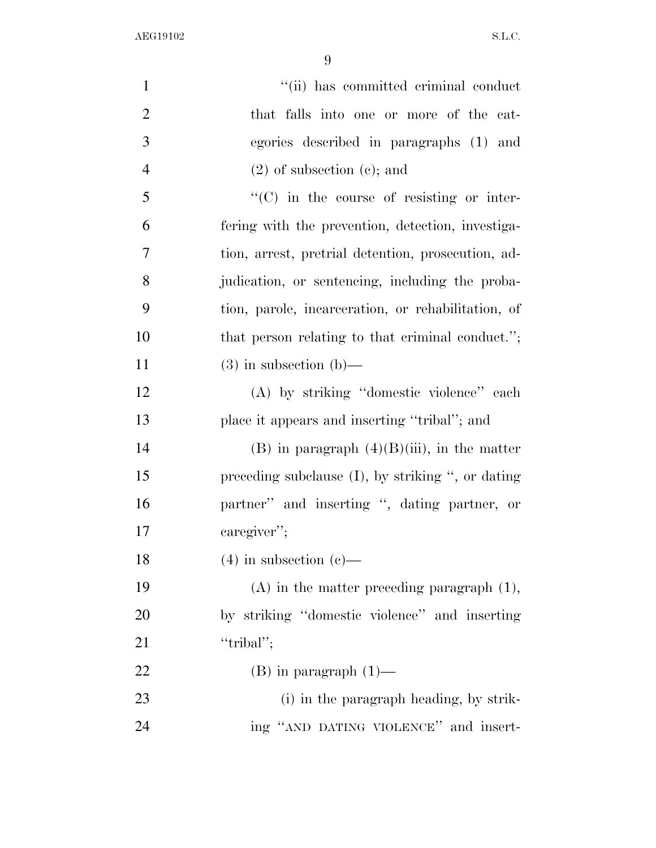| $\mathbf{1}$   | "(ii) has committed criminal conduct                 |
|----------------|------------------------------------------------------|
| $\overline{2}$ | that falls into one or more of the cat-              |
| 3              | egories described in paragraphs (1) and              |
| $\overline{4}$ | $(2)$ of subsection $(e)$ ; and                      |
| 5              | $\lq\lq$ (C) in the course of resisting or inter-    |
| 6              | fering with the prevention, detection, investiga-    |
| $\overline{7}$ | tion, arrest, pretrial detention, prosecution, ad-   |
| 8              | judication, or sentencing, including the proba-      |
| 9              | tion, parole, incarceration, or rehabilitation, of   |
| 10             | that person relating to that criminal conduct.";     |
| 11             | $(3)$ in subsection $(b)$ —                          |
| 12             | (A) by striking "domestic violence" each             |
| 13             | place it appears and inserting "tribal"; and         |
| 14             | $(B)$ in paragraph $(4)(B)(iii)$ , in the matter     |
| 15             | preceding subclause $(I)$ , by striking ", or dating |
| 16             | partner" and inserting ", dating partner, or         |
| 17             | caregiver";                                          |
| 18             | $(4)$ in subsection $(e)$ —                          |
| 19             | $(A)$ in the matter preceding paragraph $(1)$ ,      |
| 20             | by striking "domestic violence" and inserting        |
| 21             | "tribal";                                            |
| 22             | $(B)$ in paragraph $(1)$ —                           |
| 23             | (i) in the paragraph heading, by strik-              |
| 24             | ing "AND DATING VIOLENCE" and insert-                |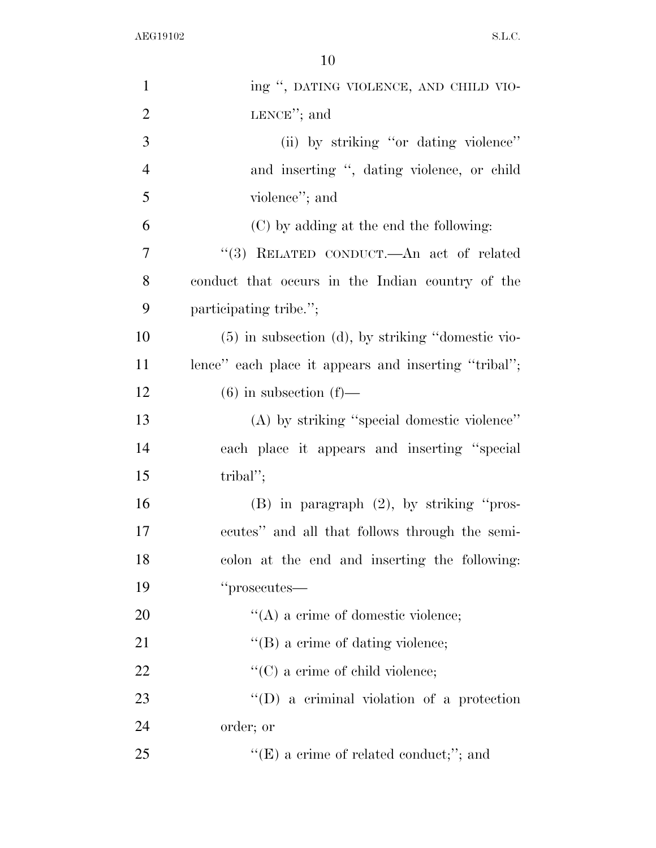| $\mathbf{1}$   | ing ", DATING VIOLENCE, AND CHILD VIO-                 |
|----------------|--------------------------------------------------------|
| $\overline{2}$ | LENCE"; and                                            |
| 3              | (ii) by striking "or dating violence"                  |
| $\overline{4}$ | and inserting ", dating violence, or child             |
| 5              | violence"; and                                         |
| 6              | (C) by adding at the end the following:                |
| 7              | "(3) RELATED CONDUCT.—An act of related                |
| 8              | conduct that occurs in the Indian country of the       |
| 9              | participating tribe.";                                 |
| 10             | $(5)$ in subsection $(d)$ , by striking "domestic vio- |
| 11             | lence" each place it appears and inserting "tribal";   |
| 12             | $(6)$ in subsection $(f)$ —                            |
| 13             | (A) by striking "special domestic violence"            |
| 14             | each place it appears and inserting "special           |
| 15             | tribal";                                               |
| 16             | (B) in paragraph (2), by striking "pros-               |
| 17             | ecutes" and all that follows through the semi-         |
| 18             | colon at the end and inserting the following:          |
| 19             | "prosecutes—                                           |
| 20             | $\lq\lq$ (A) a crime of domestic violence;             |
| 21             | "(B) a crime of dating violence;                       |
| 22             | $\lq\lq$ (C) a crime of child violence;                |
| 23             | $\lq\lq$ (D) a criminal violation of a protection      |
| 24             | order; or                                              |
| 25             | " $(E)$ a crime of related conduct;"; and              |
|                |                                                        |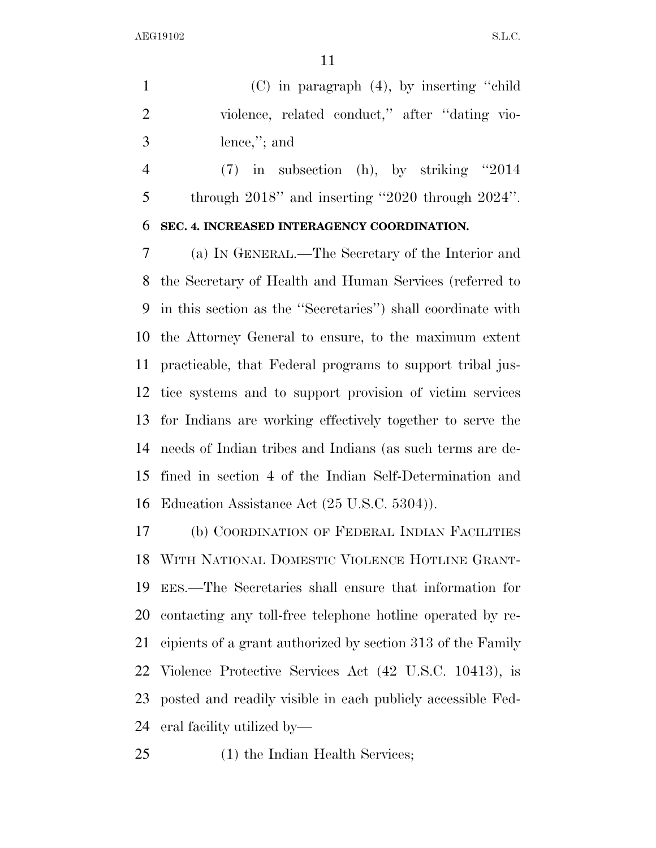(C) in paragraph (4), by inserting ''child violence, related conduct,'' after ''dating vio-lence,''; and

 (7) in subsection (h), by striking ''2014 through 2018'' and inserting ''2020 through 2024''.

### **SEC. 4. INCREASED INTERAGENCY COORDINATION.**

 (a) IN GENERAL.—The Secretary of the Interior and the Secretary of Health and Human Services (referred to in this section as the ''Secretaries'') shall coordinate with the Attorney General to ensure, to the maximum extent practicable, that Federal programs to support tribal jus- tice systems and to support provision of victim services for Indians are working effectively together to serve the needs of Indian tribes and Indians (as such terms are de- fined in section 4 of the Indian Self-Determination and Education Assistance Act (25 U.S.C. 5304)).

 (b) COORDINATION OF FEDERAL INDIAN FACILITIES WITH NATIONAL DOMESTIC VIOLENCE HOTLINE GRANT- EES.—The Secretaries shall ensure that information for contacting any toll-free telephone hotline operated by re- cipients of a grant authorized by section 313 of the Family Violence Protective Services Act (42 U.S.C. 10413), is posted and readily visible in each publicly accessible Fed-eral facility utilized by—

(1) the Indian Health Services;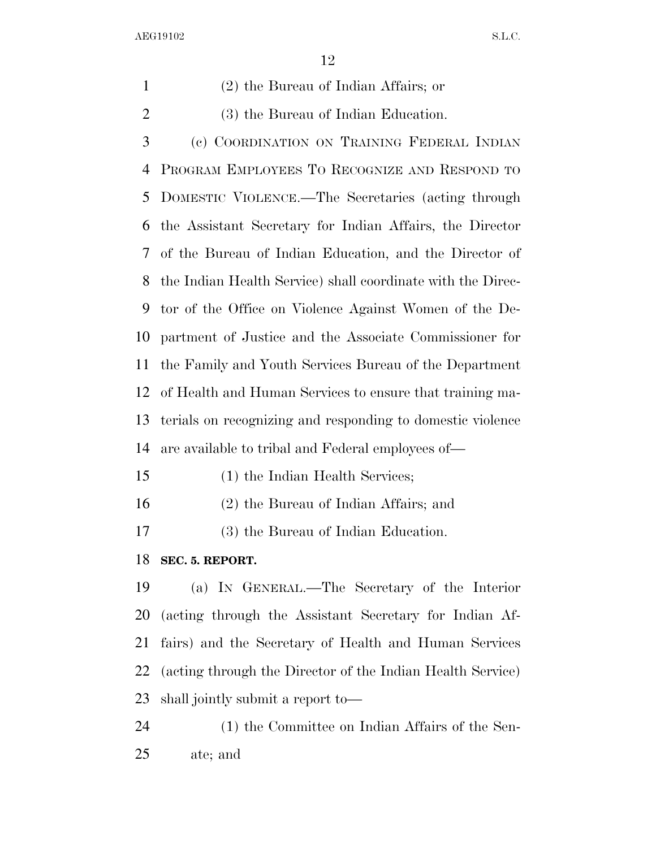| 1              | $(2)$ the Bureau of Indian Affairs; or                      |
|----------------|-------------------------------------------------------------|
| $\overline{2}$ | (3) the Bureau of Indian Education.                         |
| 3              | (c) COORDINATION ON TRAINING FEDERAL INDIAN                 |
| 4              | PROGRAM EMPLOYEES TO RECOGNIZE AND RESPOND TO               |
| 5              | DOMESTIC VIOLENCE.—The Secretaries (acting through          |
| 6              | the Assistant Secretary for Indian Affairs, the Director    |
| 7              | of the Bureau of Indian Education, and the Director of      |
| 8              | the Indian Health Service) shall coordinate with the Direc- |
| 9              | tor of the Office on Violence Against Women of the De-      |
| 10             | partment of Justice and the Associate Commissioner for      |
| 11             | the Family and Youth Services Bureau of the Department      |
| 12             | of Health and Human Services to ensure that training ma-    |
| 13             | terials on recognizing and responding to domestic violence  |
| 14             | are available to tribal and Federal employees of—           |
| 15             | (1) the Indian Health Services;                             |
| 16             | (2) the Bureau of Indian Affairs; and                       |
| 17             | (3) the Bureau of Indian Education.                         |
| 18             | SEC. 5. REPORT.                                             |
| 19             | (a) IN GENERAL.—The Secretary of the Interior               |
| 20             | (acting through the Assistant Secretary for Indian Af-      |
| 21             | fairs) and the Secretary of Health and Human Services       |
| 22             | (acting through the Director of the Indian Health Service)  |
| 23             | shall jointly submit a report to—                           |

 (1) the Committee on Indian Affairs of the Sen-ate; and